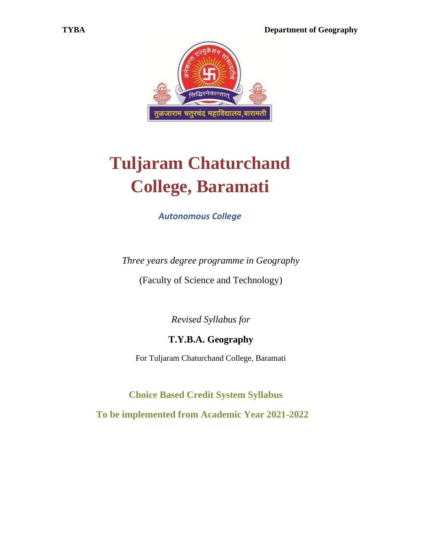

# **Tuljaram Chaturchand College, Baramati**

*Autonomous College* 

*Three years degree programme in Geography*

(Faculty of Science and Technology)

*Revised Syllabus for*

# **T.Y.B.A. Geography**

For Tuljaram Chaturchand College, Baramati

 **Choice Based Credit System Syllabus To be implemented from Academic Year 2021-2022**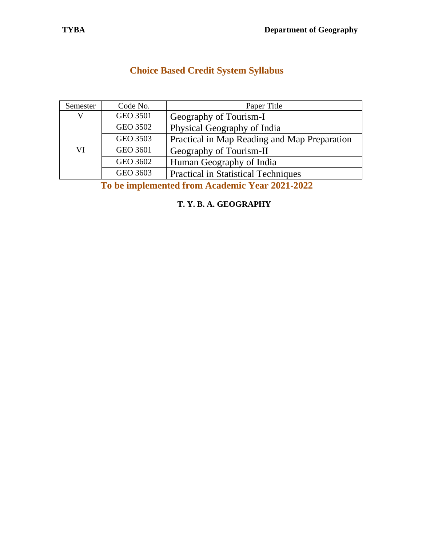|  | <b>Choice Based Credit System Syllabus</b> |  |
|--|--------------------------------------------|--|
|--|--------------------------------------------|--|

| Semester                                                                                                                                                                                                      | Code No. | Paper Title                                  |
|---------------------------------------------------------------------------------------------------------------------------------------------------------------------------------------------------------------|----------|----------------------------------------------|
| V                                                                                                                                                                                                             | GEO 3501 | Geography of Tourism-I                       |
|                                                                                                                                                                                                               | GEO 3502 | Physical Geography of India                  |
|                                                                                                                                                                                                               | GEO 3503 | Practical in Map Reading and Map Preparation |
| VI                                                                                                                                                                                                            | GEO 3601 | Geography of Tourism-II                      |
|                                                                                                                                                                                                               | GEO 3602 | Human Geography of India                     |
|                                                                                                                                                                                                               | GEO 3603 | <b>Practical in Statistical Techniques</b>   |
| $\bullet$<br>$\lambda$ is a set of $\lambda$ is the set of $\lambda$<br>$\begin{array}{c} \n\textbf{A} \textbf{A} \textbf{A} & \textbf{A} \textbf{A} \textbf{A} \textbf{A} \n\end{array}$<br>п.<br>$\sqrt{2}$ |          |                                              |

**To be implemented from Academic Year 2021-2022**

**T. Y. B. A. GEOGRAPHY**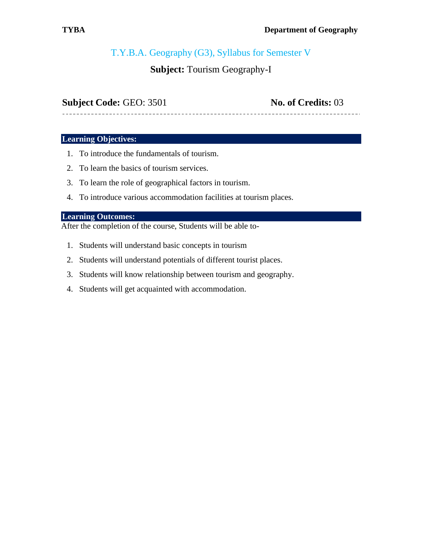# T.Y.B.A. Geography (G3), Syllabus for Semester V

# **Subject:** Tourism Geography-I

### **Subject Code:** GEO: 3501 **No. of Credits:** 03

#### **Learning Objectives:**

- 1. To introduce the fundamentals of tourism.
- 2. To learn the basics of tourism services.
- 3. To learn the role of geographical factors in tourism.
- 4. To introduce various accommodation facilities at tourism places.

#### **Learning Outcomes:**

After the completion of the course, Students will be able to-

- 1. Students will understand basic concepts in tourism
- 2. Students will understand potentials of different tourist places.
- 3. Students will know relationship between tourism and geography.
- 4. Students will get acquainted with accommodation.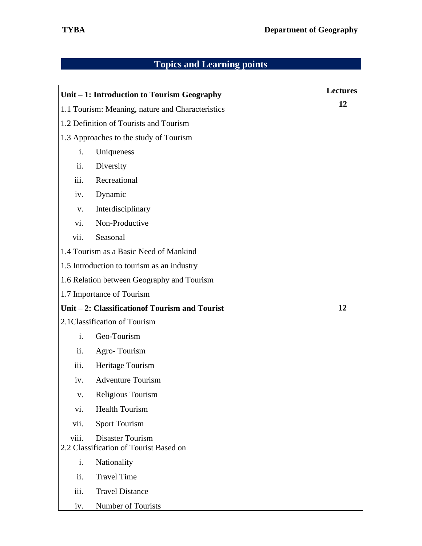|                                        | Unit – 1: Introduction to Tourism Geography                       | <b>Lectures</b> |
|----------------------------------------|-------------------------------------------------------------------|-----------------|
|                                        | 1.1 Tourism: Meaning, nature and Characteristics                  | 12              |
| 1.2 Definition of Tourists and Tourism |                                                                   |                 |
|                                        | 1.3 Approaches to the study of Tourism                            |                 |
| i.                                     | Uniqueness                                                        |                 |
| ii.                                    | Diversity                                                         |                 |
| iii.                                   | Recreational                                                      |                 |
| iv.                                    | Dynamic                                                           |                 |
| V.                                     | Interdisciplinary                                                 |                 |
| vi.                                    | Non-Productive                                                    |                 |
| vii.                                   | Seasonal                                                          |                 |
|                                        | 1.4 Tourism as a Basic Need of Mankind                            |                 |
|                                        | 1.5 Introduction to tourism as an industry                        |                 |
|                                        | 1.6 Relation between Geography and Tourism                        |                 |
|                                        | 1.7 Importance of Tourism                                         |                 |
|                                        | Unit – 2: Classification of Tourism and Tourist                   | 12              |
|                                        | 2.1 Classification of Tourism                                     |                 |
| i.                                     | Geo-Tourism                                                       |                 |
| ii.                                    | Agro-Tourism                                                      |                 |
| iii.                                   | Heritage Tourism                                                  |                 |
| iv.                                    | <b>Adventure Tourism</b>                                          |                 |
| $V_{\bullet}$                          | Religious Tourism                                                 |                 |
| vi.                                    | <b>Health Tourism</b>                                             |                 |
| vii.                                   | <b>Sport Tourism</b>                                              |                 |
| viii.                                  | <b>Disaster Tourism</b><br>2.2 Classification of Tourist Based on |                 |
| i.                                     | Nationality                                                       |                 |
| ii.                                    | <b>Travel Time</b>                                                |                 |
| iii.                                   | <b>Travel Distance</b>                                            |                 |
| iv.                                    | Number of Tourists                                                |                 |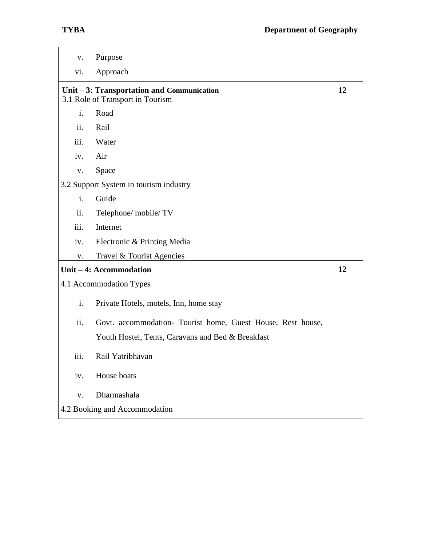| $\mathbf{V}$ .                                                                 | Purpose                                                     |    |
|--------------------------------------------------------------------------------|-------------------------------------------------------------|----|
| vi.                                                                            | Approach                                                    |    |
| Unit – 3: Transportation and Communication<br>3.1 Role of Transport in Tourism |                                                             | 12 |
| i.                                                                             | Road                                                        |    |
| ii.                                                                            | Rail                                                        |    |
| iii.                                                                           | Water                                                       |    |
| iv.                                                                            | Air                                                         |    |
| ${\bf V}$ .                                                                    | Space                                                       |    |
|                                                                                | 3.2 Support System in tourism industry                      |    |
| i.                                                                             | Guide                                                       |    |
| ii.                                                                            | Telephone/mobile/TV                                         |    |
| iii.                                                                           | Internet                                                    |    |
| iv.                                                                            | Electronic & Printing Media                                 |    |
| V.                                                                             | Travel & Tourist Agencies                                   |    |
|                                                                                | Unit - 4: Accommodation                                     | 12 |
|                                                                                | 4.1 Accommodation Types                                     |    |
| i.                                                                             | Private Hotels, motels, Inn, home stay                      |    |
| ii.                                                                            | Govt. accommodation- Tourist home, Guest House, Rest house, |    |
|                                                                                | Youth Hostel, Tents, Caravans and Bed & Breakfast           |    |
| iii.                                                                           | Rail Yatribhavan                                            |    |
| iv.                                                                            | House boats                                                 |    |
| V.                                                                             | Dharmashala                                                 |    |
| 4.2 Booking and Accommodation                                                  |                                                             |    |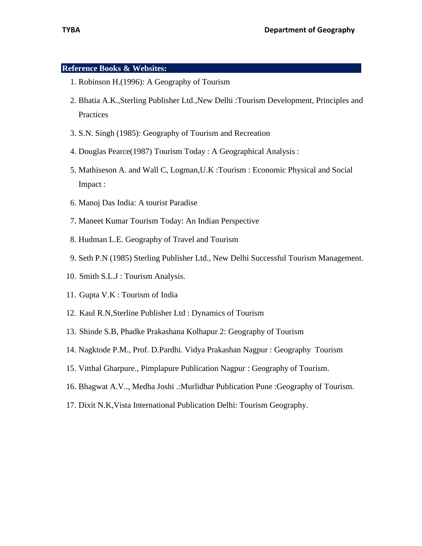#### **Reference Books & Websites:**

- 1. Robinson H.(1996): A Geography of Tourism
- 2. Bhatia A.K.,Sterling Publisher Ltd.,New Delhi :Tourism Development, Principles and **Practices**
- 3. S.N. Singh (1985): Geography of Tourism and Recreation
- 4. Douglas Pearce(1987) Tourism Today : A Geographical Analysis :
- 5. Mathiseson A. and Wall C, Logman,U.K :Tourism : Economic Physical and Social Impact :
- 6. Manoj Das India: A tourist Paradise
- 7. Maneet Kumar Tourism Today: An Indian Perspective
- 8. Hudman L.E. Geography of Travel and Tourism
- 9. Seth P.N (1985) Sterling Publisher Ltd., New Delhi Successful Tourism Management.
- 10. Smith S.L.J : Tourism Analysis.
- 11. Gupta V.K : Tourism of India
- 12. Kaul R.N,Sterline Publisher Ltd : Dynamics of Tourism
- 13. Shinde S.B, Phadke Prakashana Kolhapur 2: Geography of Tourism
- 14. Nagktode P.M., Prof. D.Pardhi. Vidya Prakashan Nagpur : Geography Tourism
- 15. Vitthal Gharpure., Pimplapure Publication Nagpur : Geography of Tourism.
- 16. Bhagwat A.V.., Medha Joshi .:Murlidhar Publication Pune :Geography of Tourism.
- 17. Dixit N.K,Vista International Publication Delhi: Tourism Geography.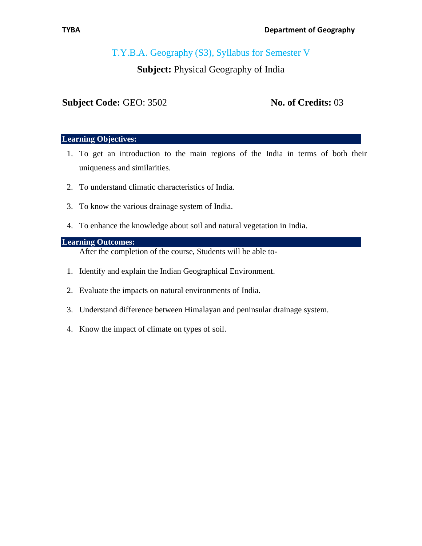# T.Y.B.A. Geography (S3), Syllabus for Semester V

# **Subject:** Physical Geography of India

**Subject Code:** GEO: 3502 **No. of Credits:** 03

------------------------------

#### **Learning Objectives:**

- 1. To get an introduction to the main regions of the India in terms of both their uniqueness and similarities.
- 2. To understand climatic characteristics of India.
- 3. To know the various drainage system of India.
- 4. To enhance the knowledge about soil and natural vegetation in India.

#### **Learning Outcomes:**

After the completion of the course, Students will be able to-

- 1. Identify and explain the Indian Geographical Environment.
- 2. Evaluate the impacts on natural environments of India.
- 3. Understand difference between Himalayan and peninsular drainage system.
- 4. Know the impact of climate on types of soil.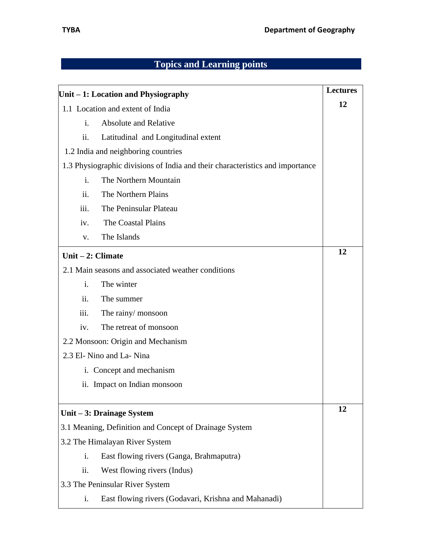| Unit – 1: Location and Physiography |                                                                               | <b>Lectures</b> |
|-------------------------------------|-------------------------------------------------------------------------------|-----------------|
|                                     | 1.1 Location and extent of India                                              | 12              |
| $\mathbf{i}$ .                      | <b>Absolute and Relative</b>                                                  |                 |
| ii.                                 | Latitudinal and Longitudinal extent                                           |                 |
|                                     | 1.2 India and neighboring countries                                           |                 |
|                                     | 1.3 Physiographic divisions of India and their characteristics and importance |                 |
| $\mathbf{i}$ .                      | The Northern Mountain                                                         |                 |
| ii.                                 | The Northern Plains                                                           |                 |
| iii.                                | The Peninsular Plateau                                                        |                 |
| iv.                                 | The Coastal Plains                                                            |                 |
| V.                                  | The Islands                                                                   |                 |
| Unit $-2$ : Climate                 |                                                                               | 12              |
|                                     | 2.1 Main seasons and associated weather conditions                            |                 |
| $\mathbf{i}$ .                      | The winter                                                                    |                 |
| ii.                                 | The summer                                                                    |                 |
| iii.                                | The rainy/monsoon                                                             |                 |
| iv.                                 | The retreat of monsoon                                                        |                 |
|                                     | 2.2 Monsoon: Origin and Mechanism                                             |                 |
|                                     | 2.3 El- Nino and La- Nina                                                     |                 |
|                                     | i. Concept and mechanism                                                      |                 |
|                                     | ii. Impact on Indian monsoon                                                  |                 |
|                                     | Unit $-3$ : Drainage System                                                   | 12              |
|                                     | 3.1 Meaning, Definition and Concept of Drainage System                        |                 |
|                                     | 3.2 The Himalayan River System                                                |                 |
| i.                                  | East flowing rivers (Ganga, Brahmaputra)                                      |                 |
| ii.                                 | West flowing rivers (Indus)                                                   |                 |
| 3.3 The Peninsular River System     |                                                                               |                 |
| i.                                  | East flowing rivers (Godavari, Krishna and Mahanadi)                          |                 |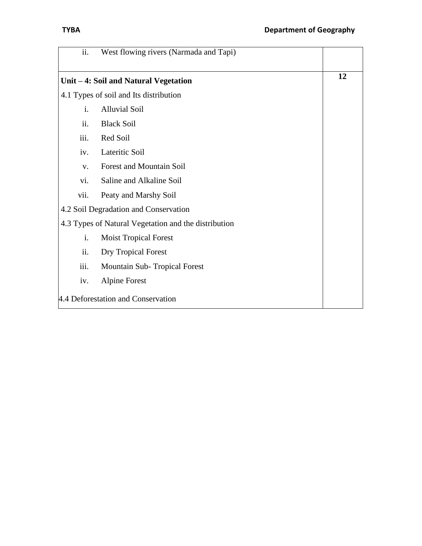| ii.                                | West flowing rivers (Narmada and Tapi)               |    |
|------------------------------------|------------------------------------------------------|----|
|                                    | Unit - 4: Soil and Natural Vegetation                | 12 |
|                                    | 4.1 Types of soil and Its distribution               |    |
| $\mathbf{i}$ .                     | <b>Alluvial Soil</b>                                 |    |
| ii.                                | <b>Black Soil</b>                                    |    |
| iii.                               | Red Soil                                             |    |
| iv.                                | Lateritic Soil                                       |    |
| $V_{\bullet}$                      | Forest and Mountain Soil                             |    |
| vi.                                | Saline and Alkaline Soil                             |    |
| vii.                               | Peaty and Marshy Soil                                |    |
|                                    | 4.2 Soil Degradation and Conservation                |    |
|                                    | 4.3 Types of Natural Vegetation and the distribution |    |
| i.                                 | <b>Moist Tropical Forest</b>                         |    |
| ii.                                | <b>Dry Tropical Forest</b>                           |    |
| iii.                               | Mountain Sub-Tropical Forest                         |    |
| iv.                                | Alpine Forest                                        |    |
| 4.4 Deforestation and Conservation |                                                      |    |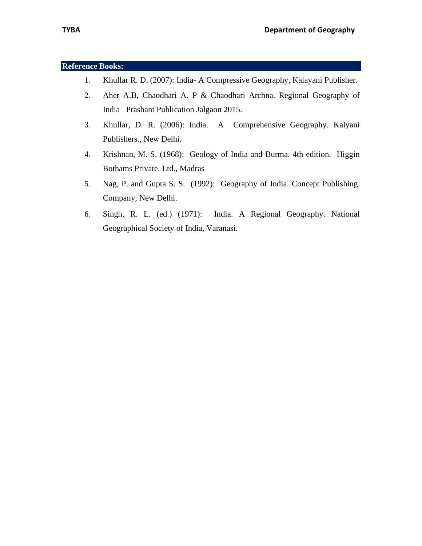#### **Reference Books:**

- 1. Khullar R. D. (2007): India- A Compressive Geography, Kalayani Publisher.
- 2. Aher A.B, Chaodhari A. P & Chaodhari Archna. Regional Geography of India Prashant Publication Jalgaon 2015.
- 3. Khullar, D. R. (2006): India. A Comprehensive Geography. Kalyani Publishers., New Delhi.
- 4. Krishnan, M. S. (1968): Geology of India and Burma. 4th edition. Higgin Bothams Private. Ltd., Madras
- 5. Nag, P. and Gupta S. S. (1992): Geography of India. Concept Publishing. Company, New Delhi.
- 6. Singh, R. L. (ed.) (1971): India. A Regional Geography. National Geographical Society of India, Varanasi.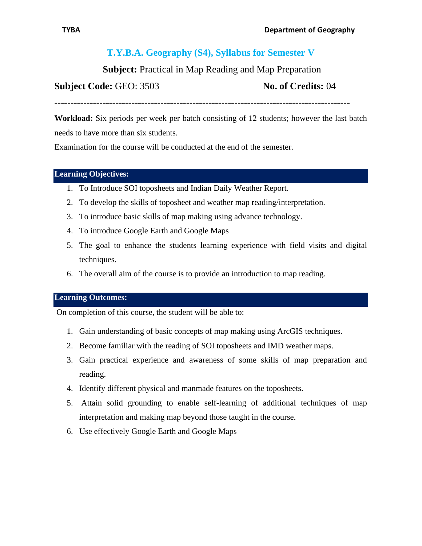# **T.Y.B.A. Geography (S4), Syllabus for Semester V**

**Subject:** Practical in Map Reading and Map Preparation

### **Subject Code: GEO: 3503 No. of Credits: 04**

--------------------------------------------------------------------------------------------

**Workload:** Six periods per week per batch consisting of 12 students; however the last batch needs to have more than six students.

Examination for the course will be conducted at the end of the semester.

#### **Learning Objectives: ……………………………………………………………………..**

- 1. To Introduce SOI toposheets and Indian Daily Weather Report.
- 2. To develop the skills of toposheet and weather map reading/interpretation.
- 3. To introduce basic skills of map making using advance technology.
- 4. To introduce Google Earth and Google Maps
- 5. The goal to enhance the students learning experience with field visits and digital techniques.
- 6. The overall aim of the course is to provide an introduction to map reading.

#### **Learning Outcomes: ……………………………………………………………………..**

On completion of this course, the student will be able to:

- 1. Gain understanding of basic concepts of map making using ArcGIS techniques.
- 2. Become familiar with the reading of SOI toposheets and IMD weather maps.
- 3. Gain practical experience and awareness of some skills of map preparation and reading.
- 4. Identify different physical and manmade features on the toposheets.
- 5. Attain solid grounding to enable self-learning of additional techniques of map interpretation and making map beyond those taught in the course.
- 6. Use effectively Google Earth and Google Maps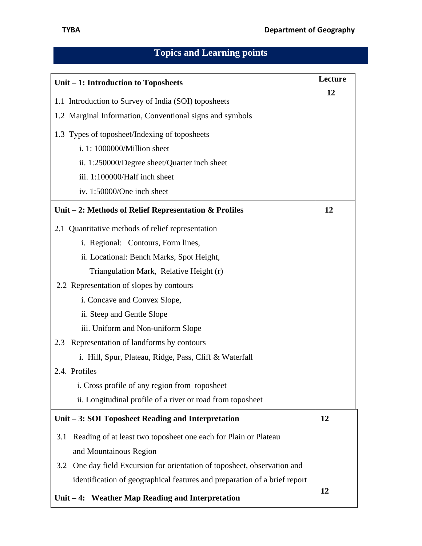| Unit – 1: Introduction to Toposheets                                      |    |
|---------------------------------------------------------------------------|----|
|                                                                           | 12 |
| 1.1 Introduction to Survey of India (SOI) toposheets                      |    |
| 1.2 Marginal Information, Conventional signs and symbols                  |    |
| 1.3 Types of toposheet/Indexing of toposheets                             |    |
| i. 1: 1000000/Million sheet                                               |    |
| ii. 1:250000/Degree sheet/Quarter inch sheet                              |    |
| iii. 1:100000/Half inch sheet                                             |    |
| iv. 1:50000/One inch sheet                                                |    |
| Unit $-2$ : Methods of Relief Representation & Profiles                   | 12 |
| 2.1 Quantitative methods of relief representation                         |    |
| i. Regional: Contours, Form lines,                                        |    |
| ii. Locational: Bench Marks, Spot Height,                                 |    |
| Triangulation Mark, Relative Height (r)                                   |    |
| 2.2 Representation of slopes by contours                                  |    |
| i. Concave and Convex Slope,                                              |    |
| ii. Steep and Gentle Slope                                                |    |
| iii. Uniform and Non-uniform Slope                                        |    |
| 2.3 Representation of landforms by contours                               |    |
| i. Hill, Spur, Plateau, Ridge, Pass, Cliff & Waterfall                    |    |
| 2.4. Profiles                                                             |    |
| i. Cross profile of any region from toposheet                             |    |
| ii. Longitudinal profile of a river or road from toposheet                |    |
| Unit – 3: SOI Toposheet Reading and Interpretation                        | 12 |
| Reading of at least two toposheet one each for Plain or Plateau<br>3.1    |    |
| and Mountainous Region                                                    |    |
| 3.2 One day field Excursion for orientation of toposheet, observation and |    |
| identification of geographical features and preparation of a brief report |    |
| Unit $-4$ : Weather Map Reading and Interpretation                        | 12 |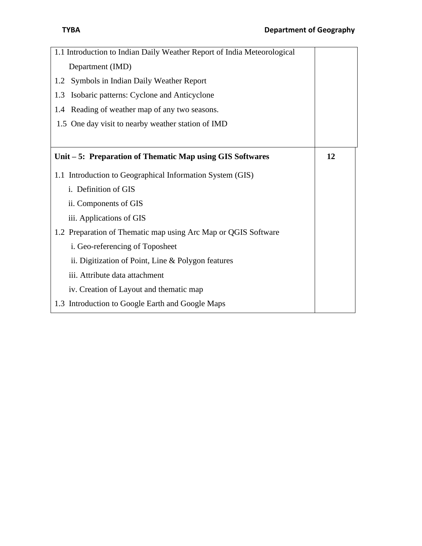| 1.1 Introduction to Indian Daily Weather Report of India Meteorological |    |
|-------------------------------------------------------------------------|----|
| Department (IMD)                                                        |    |
| Symbols in Indian Daily Weather Report<br>1.2                           |    |
| Isobaric patterns: Cyclone and Anticyclone<br>1.3                       |    |
| 1.4 Reading of weather map of any two seasons.                          |    |
| 1.5 One day visit to nearby weather station of IMD                      |    |
|                                                                         |    |
| Unit – 5: Preparation of Thematic Map using GIS Softwares               | 12 |
| 1.1 Introduction to Geographical Information System (GIS)               |    |
| i. Definition of GIS                                                    |    |
| ii. Components of GIS                                                   |    |
| iii. Applications of GIS                                                |    |
| 1.2 Preparation of Thematic map using Arc Map or QGIS Software          |    |
| i. Geo-referencing of Toposheet                                         |    |
| ii. Digitization of Point, Line & Polygon features                      |    |
| iii. Attribute data attachment                                          |    |
| iv. Creation of Layout and thematic map                                 |    |
| 1.3 Introduction to Google Earth and Google Maps                        |    |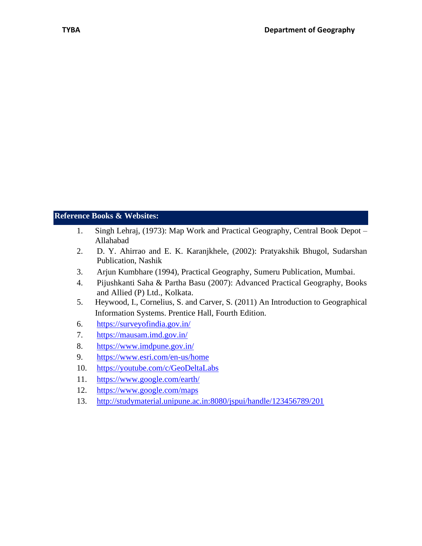### **Reference Books & Websites: …………………………………………………………..**

- 1. Singh Lehraj, (1973): Map Work and Practical Geography, Central Book Depot Allahabad
- 2. D. Y. Ahirrao and E. K. Karanjkhele, (2002): Pratyakshik Bhugol, Sudarshan Publication, Nashik
- 3. Arjun Kumbhare (1994), Practical Geography, Sumeru Publication, Mumbai.
- 4. Pijushkanti Saha & Partha Basu (2007): Advanced Practical Geography, Books and Allied (P) Ltd., Kolkata.
- 5. Heywood, I., Cornelius, S. and Carver, S. (2011) An Introduction to Geographical Information Systems. Prentice Hall, Fourth Edition.
- 6. <https://surveyofindia.gov.in/>
- 7. <https://mausam.imd.gov.in/>
- 8. <https://www.imdpune.gov.in/>
- 9. <https://www.esri.com/en-us/home>
- 10. <https://youtube.com/c/GeoDeltaLabs>
- 11. <https://www.google.com/earth/>
- 12. <https://www.google.com/maps>
- 13. <http://studymaterial.unipune.ac.in:8080/jspui/handle/123456789/201>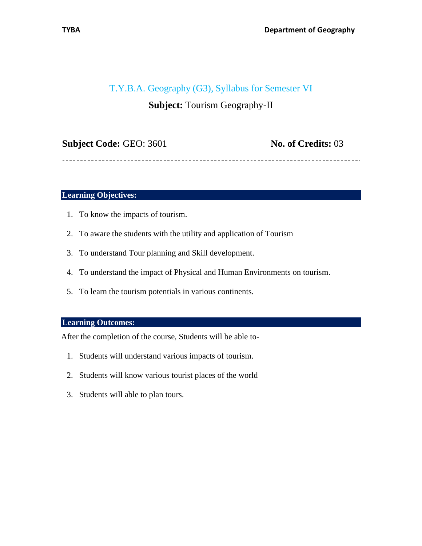### T.Y.B.A. Geography (G3), Syllabus for Semester VI

# **Subject:** Tourism Geography-II

| <b>Subject Code: GEO: 3601</b> |
|--------------------------------|
|--------------------------------|

**No. of Credits:** 03

**Learning Objectives:** 

- 1. To know the impacts of tourism.
- 2. To aware the students with the utility and application of Tourism
- 3. To understand Tour planning and Skill development.
- 4. To understand the impact of Physical and Human Environments on tourism.
- 5. To learn the tourism potentials in various continents.

### **Learning Outcomes:**

After the completion of the course, Students will be able to-

- 1. Students will understand various impacts of tourism.
- 2. Students will know various tourist places of the world
- 3. Students will able to plan tours.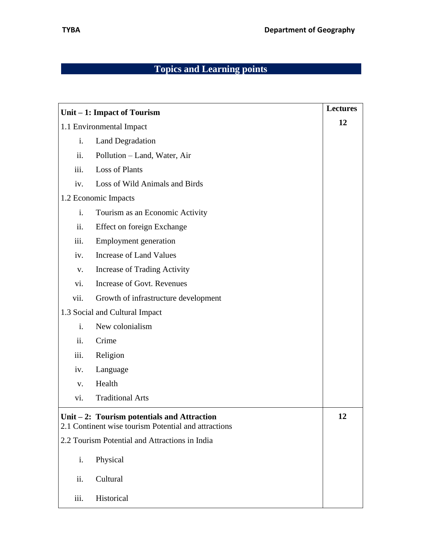|                          | Unit – 1: Impact of Tourism                                                                           | <b>Lectures</b> |
|--------------------------|-------------------------------------------------------------------------------------------------------|-----------------|
| 1.1 Environmental Impact |                                                                                                       | 12              |
| i.                       | <b>Land Degradation</b>                                                                               |                 |
| ii.                      | Pollution - Land, Water, Air                                                                          |                 |
| iii.                     | <b>Loss of Plants</b>                                                                                 |                 |
| iv.                      | Loss of Wild Animals and Birds                                                                        |                 |
|                          | 1.2 Economic Impacts                                                                                  |                 |
| i.                       | Tourism as an Economic Activity                                                                       |                 |
| ii.                      | <b>Effect on foreign Exchange</b>                                                                     |                 |
| iii.                     | <b>Employment</b> generation                                                                          |                 |
| iv.                      | <b>Increase of Land Values</b>                                                                        |                 |
| V.                       | <b>Increase of Trading Activity</b>                                                                   |                 |
| vi.                      | <b>Increase of Govt. Revenues</b>                                                                     |                 |
| vii.                     | Growth of infrastructure development                                                                  |                 |
|                          | 1.3 Social and Cultural Impact                                                                        |                 |
| i.                       | New colonialism                                                                                       |                 |
| ii.                      | Crime                                                                                                 |                 |
| iii.                     | Religion                                                                                              |                 |
| iv.                      | Language                                                                                              |                 |
| V.                       | Health                                                                                                |                 |
| vi.                      | <b>Traditional Arts</b>                                                                               |                 |
|                          | Unit $-2$ : Tourism potentials and Attraction<br>2.1 Continent wise tourism Potential and attractions | 12              |
|                          | 2.2 Tourism Potential and Attractions in India                                                        |                 |
| i.                       | Physical                                                                                              |                 |
| ii.                      | Cultural                                                                                              |                 |
| iii.                     | Historical                                                                                            |                 |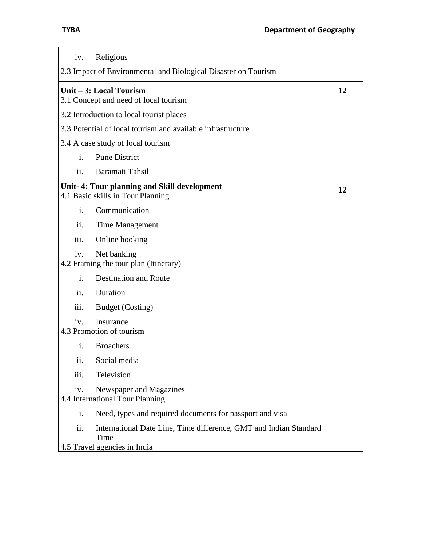| Religious<br>iv.                                                                                                 |    |
|------------------------------------------------------------------------------------------------------------------|----|
| 2.3 Impact of Environmental and Biological Disaster on Tourism                                                   |    |
| Unit – 3: Local Tourism<br>3.1 Concept and need of local tourism                                                 | 12 |
| 3.2 Introduction to local tourist places                                                                         |    |
| 3.3 Potential of local tourism and available infrastructure                                                      |    |
| 3.4 A case study of local tourism                                                                                |    |
| $\mathbf{i}$ .<br><b>Pune District</b>                                                                           |    |
| ii.<br>Baramati Tahsil                                                                                           |    |
| Unit-4: Tour planning and Skill development<br>4.1 Basic skills in Tour Planning                                 | 12 |
| $\mathbf{i}$ .<br>Communication                                                                                  |    |
| ii.<br>Time Management                                                                                           |    |
| iii.<br>Online booking                                                                                           |    |
| Net banking<br>iv.<br>4.2 Framing the tour plan (Itinerary)                                                      |    |
| <b>Destination and Route</b><br>$\mathbf{i}$ .                                                                   |    |
| Duration<br>ii.                                                                                                  |    |
| <b>Budget</b> (Costing)<br>iii.                                                                                  |    |
| Insurance<br>iv.<br>4.3 Promotion of tourism                                                                     |    |
| i.<br><b>Broachers</b>                                                                                           |    |
| ii.<br>Social media                                                                                              |    |
| iii.<br>Television                                                                                               |    |
| Newspaper and Magazines<br>iv.<br>4.4 International Tour Planning                                                |    |
| i.<br>Need, types and required documents for passport and visa                                                   |    |
| ii.<br>International Date Line, Time difference, GMT and Indian Standard<br>Time<br>4.5 Travel agencies in India |    |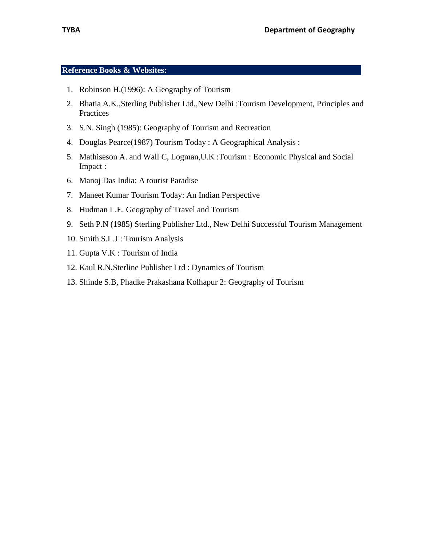#### **Reference Books & Websites:**

- 1. Robinson H.(1996): A Geography of Tourism
- 2. Bhatia A.K.,Sterling Publisher Ltd.,New Delhi :Tourism Development, Principles and Practices
- 3. S.N. Singh (1985): Geography of Tourism and Recreation
- 4. Douglas Pearce(1987) Tourism Today : A Geographical Analysis :
- 5. Mathiseson A. and Wall C, Logman,U.K :Tourism : Economic Physical and Social Impact :
- 6. Manoj Das India: A tourist Paradise
- 7. Maneet Kumar Tourism Today: An Indian Perspective
- 8. Hudman L.E. Geography of Travel and Tourism
- 9. Seth P.N (1985) Sterling Publisher Ltd., New Delhi Successful Tourism Management
- 10. Smith S.L.J : Tourism Analysis
- 11. Gupta V.K : Tourism of India
- 12. Kaul R.N,Sterline Publisher Ltd : Dynamics of Tourism
- 13. Shinde S.B, Phadke Prakashana Kolhapur 2: Geography of Tourism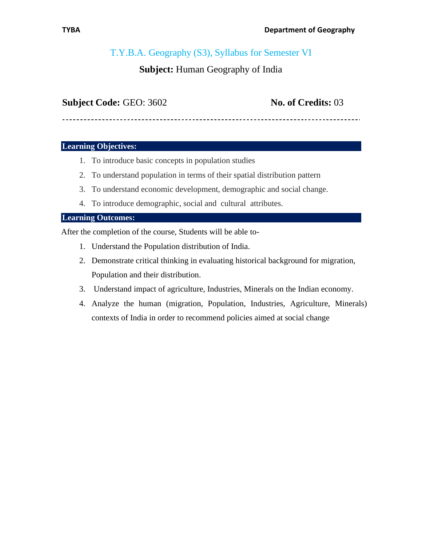# T.Y.B.A. Geography (S3), Syllabus for Semester VI

# **Subject:** Human Geography of India

# **Subject Code:** GEO: 3602 **No. of Credits:** 03

### **Learning Objectives:**

- 1. To introduce basic concepts in population studies
- 2. To understand population in terms of their spatial distribution pattern
- 3. To understand economic development, demographic and social change.
- 4. To introduce demographic, social and cultural attributes.

### **Learning Outcomes:**

After the completion of the course, Students will be able to-

- 1. Understand the Population distribution of India.
- 2. Demonstrate critical thinking in evaluating historical background for migration, Population and their distribution.
- 3. Understand impact of agriculture, Industries, Minerals on the Indian economy.
- 4. Analyze the human (migration, Population, Industries, Agriculture, Minerals) contexts of India in order to recommend policies aimed at social change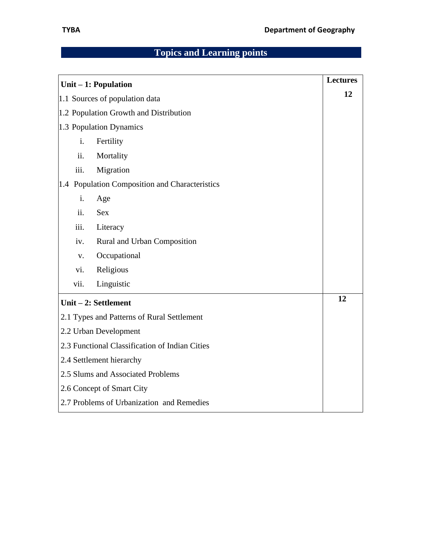| Unit $-1$ : Population                         | <b>Lectures</b> |
|------------------------------------------------|-----------------|
| 1.1 Sources of population data                 | 12              |
| 1.2 Population Growth and Distribution         |                 |
| 1.3 Population Dynamics                        |                 |
| i.<br>Fertility                                |                 |
| ii.<br>Mortality                               |                 |
| Migration<br>iii.                              |                 |
| 1.4 Population Composition and Characteristics |                 |
| i.<br>Age                                      |                 |
| ii.<br><b>Sex</b>                              |                 |
| iii.<br>Literacy                               |                 |
| Rural and Urban Composition<br>iv.             |                 |
| Occupational<br>$V_{\bullet}$                  |                 |
| Religious<br>vi.                               |                 |
| vii.<br>Linguistic                             |                 |
| Unit $-2$ : Settlement                         | 12              |
| 2.1 Types and Patterns of Rural Settlement     |                 |
| 2.2 Urban Development                          |                 |
| 2.3 Functional Classification of Indian Cities |                 |
| 2.4 Settlement hierarchy                       |                 |
| 2.5 Slums and Associated Problems              |                 |
| 2.6 Concept of Smart City                      |                 |
| 2.7 Problems of Urbanization and Remedies      |                 |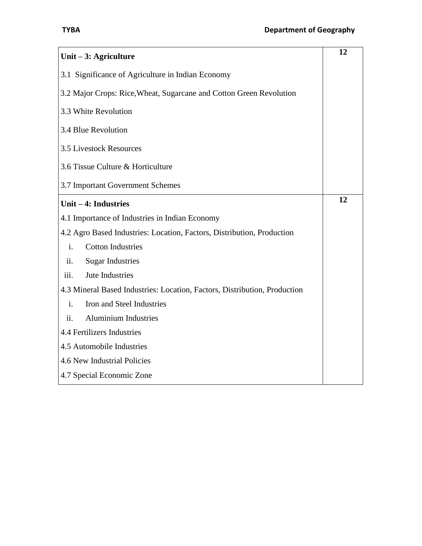| Unit $-3$ : Agriculture                                                   | 12 |
|---------------------------------------------------------------------------|----|
| 3.1 Significance of Agriculture in Indian Economy                         |    |
| 3.2 Major Crops: Rice, Wheat, Sugarcane and Cotton Green Revolution       |    |
| 3.3 White Revolution                                                      |    |
| 3.4 Blue Revolution                                                       |    |
| <b>3.5 Livestock Resources</b>                                            |    |
| 3.6 Tissue Culture & Horticulture                                         |    |
| 3.7 Important Government Schemes                                          |    |
| Unit - 4: Industries                                                      | 12 |
| 4.1 Importance of Industries in Indian Economy                            |    |
| 4.2 Agro Based Industries: Location, Factors, Distribution, Production    |    |
| <b>Cotton Industries</b><br>i.                                            |    |
| <b>Sugar Industries</b><br>ii.                                            |    |
| Jute Industries<br>iii.                                                   |    |
| 4.3 Mineral Based Industries: Location, Factors, Distribution, Production |    |
| Iron and Steel Industries<br>$\mathbf{i}$ .                               |    |
| <b>Aluminium Industries</b><br>ii.                                        |    |
| 4.4 Fertilizers Industries                                                |    |
| 4.5 Automobile Industries                                                 |    |
| 4.6 New Industrial Policies                                               |    |
| 4.7 Special Economic Zone                                                 |    |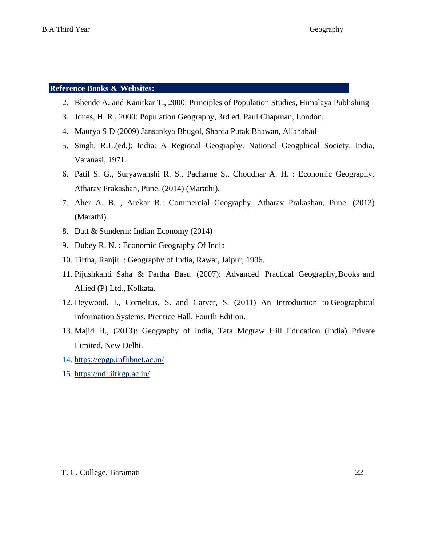#### **Reference Books & Websites:**

- 2. Bhende A. and Kanitkar T., 2000: Principles of Population Studies, Himalaya Publishing
- 3. Jones, H. R., 2000: Population Geography, 3rd ed. Paul Chapman, London.
- 4. Maurya S D (2009) Jansankya Bhugol, Sharda Putak Bhawan, Allahabad
- 5. Singh, R.L.(ed.): India: A Regional Geography. National Geogphical Society. India, Varanasi, 1971.
- 6. Patil S. G., Suryawanshi R. S., Pacharne S., Choudhar A. H. : Economic Geography, Atharav Prakashan, Pune. (2014) (Marathi).
- 7. Aher A. B. , Arekar R.: Commercial Geography, Atharav Prakashan, Pune. (2013) (Marathi).
- 8. Datt & Sunderm: Indian Economy (2014)
- 9. Dubey R. N. : Economic Geography Of India
- 10. Tirtha, Ranjit. : Geography of India, Rawat, Jaipur, 1996.
- 11. Pijushkanti Saha & Partha Basu (2007): Advanced Practical Geography,Books and Allied (P) Ltd., Kolkata.
- 12. Heywood, I., Cornelius, S. and Carver, S. (2011) An Introduction to Geographical Information Systems. Prentice Hall, Fourth Edition.
- 13. Majid H., (2013): Geography of India, Tata Mcgraw Hill Education (India) Private Limited, New Delhi.
- 14. <https://epgp.inflibnet.ac.in/>
- 15. <https://ndl.iitkgp.ac.in/>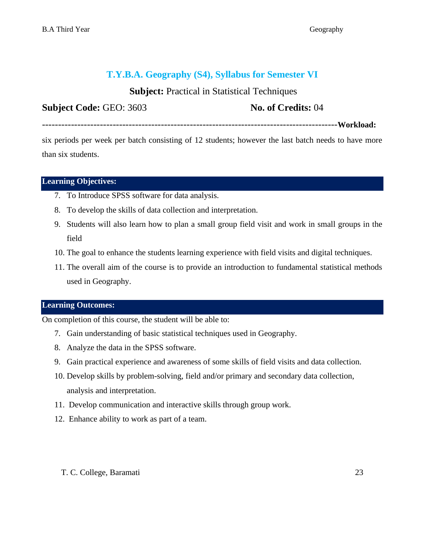# **T.Y.B.A. Geography (S4), Syllabus for Semester VI**

# **Subject:** Practical in Statistical Techniques

**Subject Code: GEO: 3603 No. of Credits: 04** 

--------------------------------------------------------------------------------------------**Workload:**

six periods per week per batch consisting of 12 students; however the last batch needs to have more than six students.

#### **Learning Objectives: ……………………………………………………………………..**

- 7. To Introduce SPSS software for data analysis.
- 8. To develop the skills of data collection and interpretation.
- 9. Students will also learn how to plan a small group field visit and work in small groups in the field
- 10. The goal to enhance the students learning experience with field visits and digital techniques.
- 11. The overall aim of the course is to provide an introduction to fundamental statistical methods used in Geography.

#### **Learning Outcomes: ……………………………………………………………………..**

On completion of this course, the student will be able to:

- 7. Gain understanding of basic statistical techniques used in Geography.
- 8. Analyze the data in the SPSS software.
- 9. Gain practical experience and awareness of some skills of field visits and data collection.
- 10. Develop skills by problem-solving, field and/or primary and secondary data collection, analysis and interpretation.
- 11. Develop communication and interactive skills through group work.
- 12. Enhance ability to work as part of a team.
	- T. C. College, Baramati 23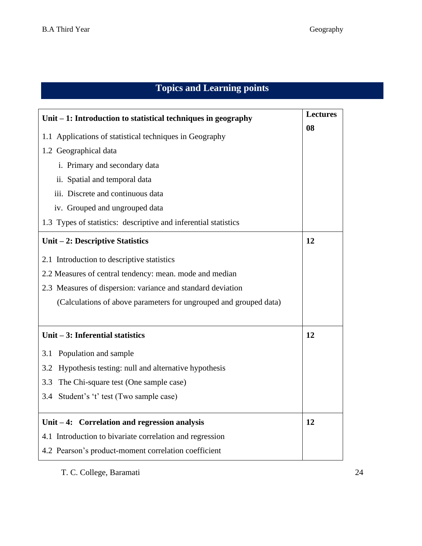| Unit – 1: Introduction to statistical techniques in geography     | <b>Lectures</b> |
|-------------------------------------------------------------------|-----------------|
| 1.1 Applications of statistical techniques in Geography           | 08              |
| 1.2 Geographical data                                             |                 |
| i. Primary and secondary data                                     |                 |
| ii. Spatial and temporal data                                     |                 |
| iii. Discrete and continuous data                                 |                 |
| iv. Grouped and ungrouped data                                    |                 |
| 1.3 Types of statistics: descriptive and inferential statistics   |                 |
| Unit – 2: Descriptive Statistics                                  | 12              |
| 2.1 Introduction to descriptive statistics                        |                 |
| 2.2 Measures of central tendency: mean. mode and median           |                 |
| 2.3 Measures of dispersion: variance and standard deviation       |                 |
| (Calculations of above parameters for ungrouped and grouped data) |                 |
|                                                                   |                 |
| Unit $-3$ : Inferential statistics                                | 12              |
| Population and sample<br>3.1                                      |                 |
| Hypothesis testing: null and alternative hypothesis<br>3.2        |                 |
| The Chi-square test (One sample case)<br>3.3                      |                 |
| 3.4 Student's 't' test (Two sample case)                          |                 |
|                                                                   |                 |
| Unit $-4$ : Correlation and regression analysis                   | 12              |
| 4.1 Introduction to bivariate correlation and regression          |                 |
| 4.2 Pearson's product-moment correlation coefficient              |                 |

T. C. College, Baramati 24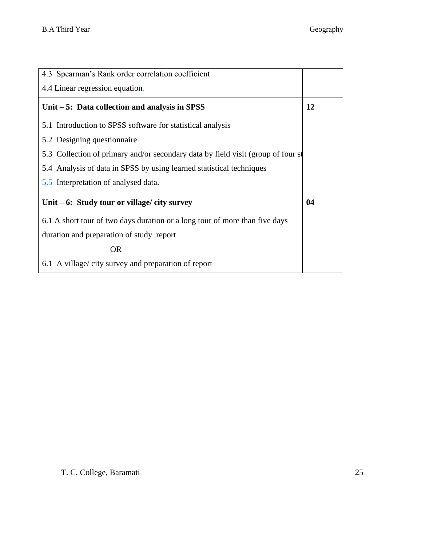| 4.3 Spearman's Rank order correlation coefficient                                |           |
|----------------------------------------------------------------------------------|-----------|
| 4.4 Linear regression equation.                                                  |           |
| Unit $-5$ : Data collection and analysis in SPSS                                 | <b>12</b> |
| 5.1 Introduction to SPSS software for statistical analysis                       |           |
| 5.2 Designing questionnaire                                                      |           |
| 5.3 Collection of primary and/or secondary data by field visit (group of four st |           |
| 5.4 Analysis of data in SPSS by using learned statistical techniques             |           |
| 5.5 Interpretation of analysed data.                                             |           |
| Unit $-6$ : Study tour or village/ city survey                                   | 04        |
| 6.1 A short tour of two days duration or a long tour of more than five days      |           |
| duration and preparation of study report                                         |           |
| <b>OR</b>                                                                        |           |
| 6.1 A village/city survey and preparation of report                              |           |